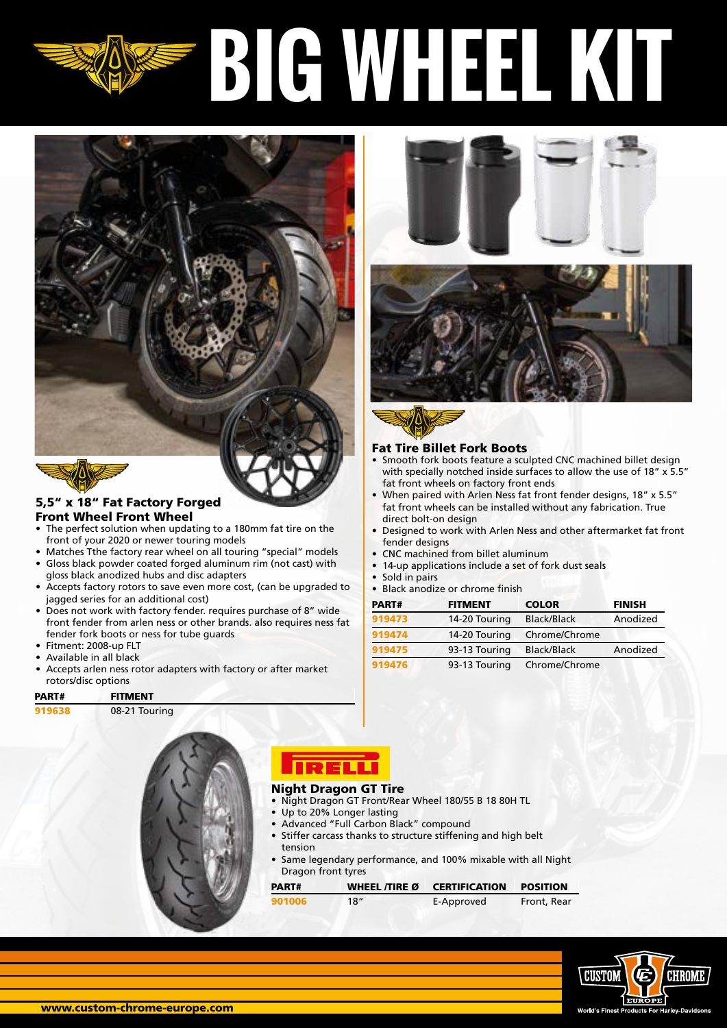# **BIG WHEEL KIT**





# 5,5" x 18" Fat Factory Forged Front Wheel Front Wheel

- The perfect solution when updating to a 180mm fat tire on the front of your 2020 or newer touring models
- Matches Tthe factory rear wheel on all touring "special" models
- Gloss black powder coated forged aluminum rim (not cast) with gloss black anodized hubs and disc adapters
- Accepts factory rotors to save even more cost, (can be upgraded to jagged series for an additional cost)
- Does not work with factory fender. requires purchase of 8" wide front fender from arlen ness or other brands. also requires ness fat fender fork boots or ness for tube guards
- Fitment: 2008-up FLT
- Available in all black
- Accepts arlen ness rotor adapters with factory or after market rotors/disc options

| PART# | <b>FITMENT</b> |
|-------|----------------|
|       |                |

| 919638 |  | 08-21 Touring |
|--------|--|---------------|
|--------|--|---------------|



## Night Dragon GT Tire

- Night Dragon GT Front/Rear Wheel 180/55 B 18 80H TL
- Up to 20% Longer lasting
- Advanced "Full Carbon Black" compound
- Stiffer carcass thanks to structure stiffening and high belt tension
- Same legendary performance, and 100% mixable with all Night Dragon front tyres

Fat Tire Billet Fork Boots

direct bolt-on design

fender designs

• Sold in pairs

fat front wheels on factory front ends

• CNC machined from billet aluminum

• Black anodize or chrome finish

14-up applications include a set of fork dust seals

[919474](https://www.custom-chrome-europe.com/919474.html) 14-20 Touring Chrome/Chrome

[919476](https://www.custom-chrome-europe.com/919476.html) 93-13 Touring Chrome/Chrome

PART# FITMENT COLOR FINISH [919473](https://www.custom-chrome-europe.com/919473.html) 14-20 Touring Black/Black Anodized

[919475](https://www.custom-chrome-europe.com/919475.html) 93-13 Touring Black/Black Anodized

Smooth fork boots feature a sculpted CNC machined billet design with specially notched inside surfaces to allow the use of 18" x 5.5"

• When paired with Arlen Ness fat front fender designs, 18" x 5.5" fat front wheels can be installed without any fabrication. True

• Designed to work with Arlen Ness and other aftermarket fat front

| PART#  | WHEEL TIRE Ø | <b>CERTIFICATION</b> | <b>POSITION</b> |
|--------|--------------|----------------------|-----------------|
| 901006 | 18"          | E-Approved           | Front, Rear     |